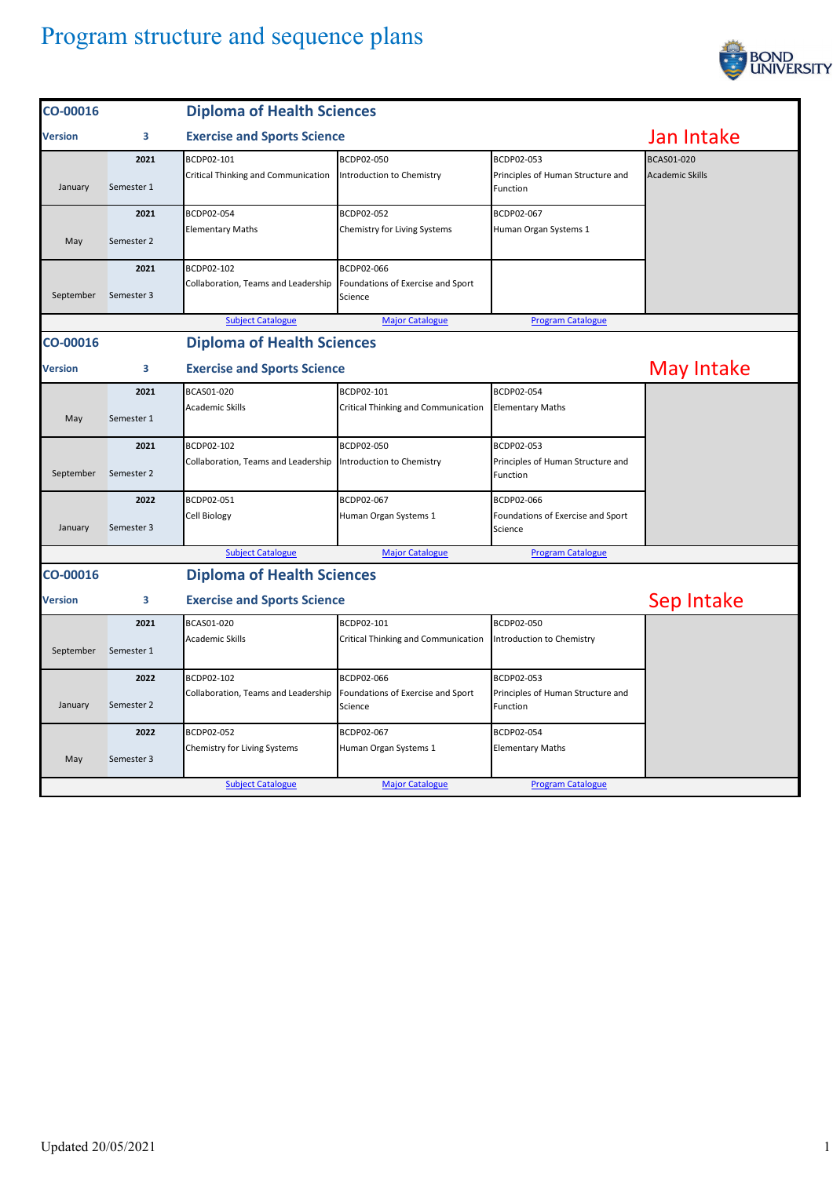

| CO-00016                                      | <b>Diploma of Health Sciences</b> |                                                                        |                                                               |                                                                   |                                             |
|-----------------------------------------------|-----------------------------------|------------------------------------------------------------------------|---------------------------------------------------------------|-------------------------------------------------------------------|---------------------------------------------|
| Version                                       | 3                                 | <b>Exercise and Sports Science</b>                                     |                                                               |                                                                   | Jan Intake                                  |
| January                                       | 2021<br>Semester 1                | BCDP02-101<br>Critical Thinking and Communication                      | BCDP02-050<br>Introduction to Chemistry                       | BCDP02-053<br>Principles of Human Structure and<br>Function       | <b>BCAS01-020</b><br><b>Academic Skills</b> |
| May                                           | 2021<br>Semester 2                | BCDP02-054<br><b>Elementary Maths</b>                                  | BCDP02-052<br>Chemistry for Living Systems                    | BCDP02-067<br>Human Organ Systems 1                               |                                             |
| September                                     | 2021<br>Semester 3                | BCDP02-102<br>Collaboration, Teams and Leadership                      | BCDP02-066<br>Foundations of Exercise and Sport<br>Science    |                                                                   |                                             |
|                                               |                                   | <b>Subject Catalogue</b>                                               | <b>Major Catalogue</b>                                        | <b>Program Catalogue</b>                                          |                                             |
| CO-00016                                      |                                   | <b>Diploma of Health Sciences</b>                                      |                                                               |                                                                   |                                             |
| Version                                       | 3                                 | <b>Exercise and Sports Science</b>                                     |                                                               |                                                                   | May Intake                                  |
| May                                           | 2021<br>Semester 1                | BCAS01-020<br><b>Academic Skills</b>                                   | BCDP02-101<br>Critical Thinking and Communication             | BCDP02-054<br><b>Elementary Maths</b>                             |                                             |
|                                               | 2021                              | BCDP02-102                                                             | BCDP02-050                                                    | BCDP02-053                                                        |                                             |
| September                                     | Semester 2                        | Collaboration, Teams and Leadership                                    | Introduction to Chemistry                                     | Principles of Human Structure and<br>Function                     |                                             |
|                                               | 2022                              | BCDP02-051                                                             | BCDP02-067                                                    | BCDP02-066                                                        |                                             |
| January                                       | Semester 3                        | Cell Biology                                                           | Human Organ Systems 1                                         | Foundations of Exercise and Sport<br>Science                      |                                             |
|                                               |                                   | <b>Subject Catalogue</b>                                               | <b>Major Catalogue</b>                                        | <b>Program Catalogue</b>                                          |                                             |
| <b>Diploma of Health Sciences</b><br>CO-00016 |                                   |                                                                        |                                                               |                                                                   |                                             |
| Version                                       | 3                                 | <b>Exercise and Sports Science</b>                                     |                                                               |                                                                   | Sep Intake                                  |
| September                                     | 2021<br>Semester 1                | BCAS01-020<br><b>Academic Skills</b>                                   | BCDP02-101<br><b>Critical Thinking and Communication</b>      | BCDP02-050<br>Introduction to Chemistry                           |                                             |
|                                               | 2022                              | BCDP02-102                                                             | BCDP02-066                                                    | BCDP02-053                                                        |                                             |
| January                                       | Semester 2                        | Collaboration, Teams and Leadership                                    | Foundations of Exercise and Sport<br>Science                  | Principles of Human Structure and<br>Function                     |                                             |
| May                                           | 2022<br>Semester 3                | BCDP02-052<br>Chemistry for Living Systems<br><b>Subject Catalogue</b> | BCDP02-067<br>Human Organ Systems 1<br><b>Major Catalogue</b> | BCDP02-054<br><b>Elementary Maths</b><br><b>Program Catalogue</b> |                                             |
|                                               |                                   |                                                                        |                                                               |                                                                   |                                             |